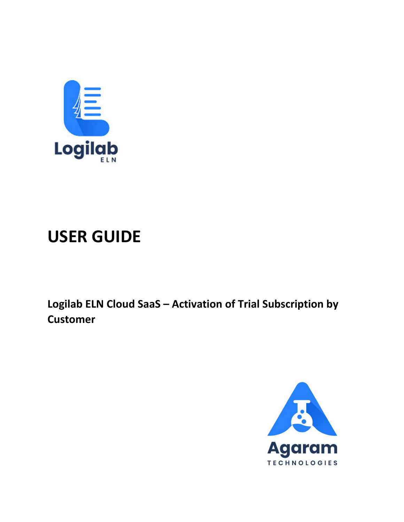

# **USER GUIDE**

Logilab ELN Cloud SaaS - Activation of Trial Subscription by **Customer** 

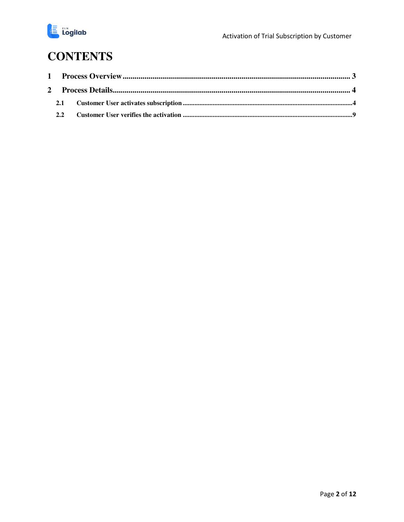

### **CONTENTS**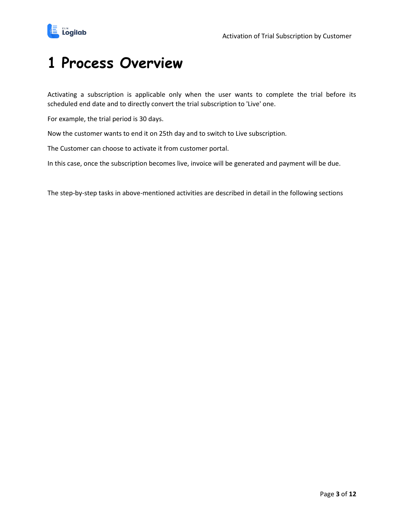

### <span id="page-2-0"></span>**1 Process Overview**

Activating a subscription is applicable only when the user wants to complete the trial before its scheduled end date and to directly convert the trial subscription to 'Live' one.

For example, the trial period is 30 days.

Now the customer wants to end it on 25th day and to switch to Live subscription.

The Customer can choose to activate it from customer portal.

In this case, once the subscription becomes live, invoice will be generated and payment will be due.

The step-by-step tasks in above-mentioned activities are described in detail in the following sections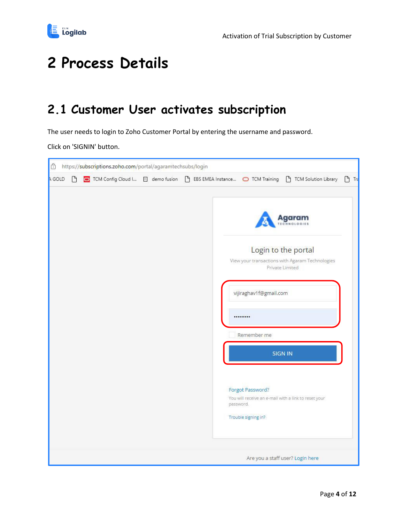

## <span id="page-3-0"></span>**2 Process Details**

#### <span id="page-3-1"></span>**2.1 Customer User activates subscription**

The user needs to login to Zoho Customer Portal by entering the username and password.

Click on 'SIGNIN' button.

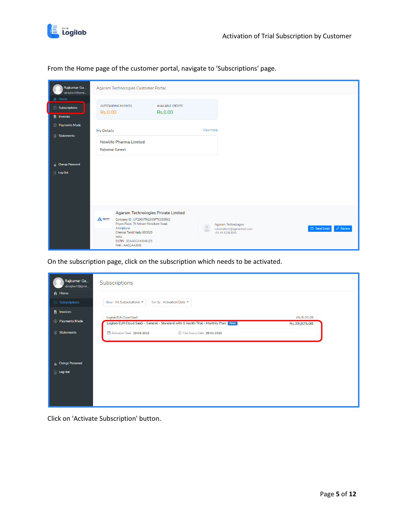

From the Home page of the customer portal, navigate to 'Subscriptions' page.

| Rajkumar Ga<br>vijiraghav1f@gmai                 | Agaram Technologies Customer Portal                                                                                                                                                                                                                                                                                                                                       |
|--------------------------------------------------|---------------------------------------------------------------------------------------------------------------------------------------------------------------------------------------------------------------------------------------------------------------------------------------------------------------------------------------------------------------------------|
| Home<br>A<br>Subscriptions<br><b>Fi</b> Invoices | OUTSTANDING INVOICES<br><b>AVAILABLE CREDITS</b><br><b>Rs.0.00</b><br><b>Rs.0.00</b>                                                                                                                                                                                                                                                                                      |
| <b>S</b> Payments Made<br><b>B</b> Statements    | <b>View More</b><br>My Details                                                                                                                                                                                                                                                                                                                                            |
|                                                  | <b>Newlife Pharma Limited</b><br>Rajkumar Ganesh                                                                                                                                                                                                                                                                                                                          |
| <b>G</b> Change Password                         |                                                                                                                                                                                                                                                                                                                                                                           |
| $\overline{+}$ Log Out                           |                                                                                                                                                                                                                                                                                                                                                                           |
|                                                  | Agaram Technologies Private Limited<br>A Agaram<br>Company ID: U72900TN1995PTC030563<br>Priyan Plaza, 76 Nelson Manickam Road,<br>Agaram Technologies<br>$\circ$<br>Aminjikarai<br>$\oslash$ Review<br>Send Email<br>subscriptions@agaramtech.com<br>$\blacksquare$<br>Chennai Tamil Nadu 600029<br>+91 44 42082005<br>India<br>GSTIN: 33AACCA4304J1Z5<br>PAN: AACCA4304J |

On the subscription page, click on the subscription which needs to be activated.

| Rajkumar Ga<br>vijiraghav1f@gmai | Subscriptions                                                                                                                               |
|----------------------------------|---------------------------------------------------------------------------------------------------------------------------------------------|
| <b>合</b> Home                    |                                                                                                                                             |
| Subscriptions                    | Show: All Subscriptions<br>Sort By: Activation Date .                                                                                       |
| <b>F</b> Invoices                |                                                                                                                                             |
| S Payments Made                  | Logilab ELN Cloud SaaS<br>#SUB-00128<br>Logilab ELN Cloud SaaS - General - Standard with 1 month Trial - Monthly Plan TRIAL<br>Rs.39,825.00 |
| <b>B</b> Statements              | <b>D</b> Activation Date: 29-01-2022<br>Trial Expiry Date: 29-01-2022                                                                       |
| <b>G</b> Change Password         |                                                                                                                                             |
| $\overline{z}$ Log Out           |                                                                                                                                             |
|                                  |                                                                                                                                             |
|                                  |                                                                                                                                             |
|                                  |                                                                                                                                             |

Click on 'Activate Subscription' button.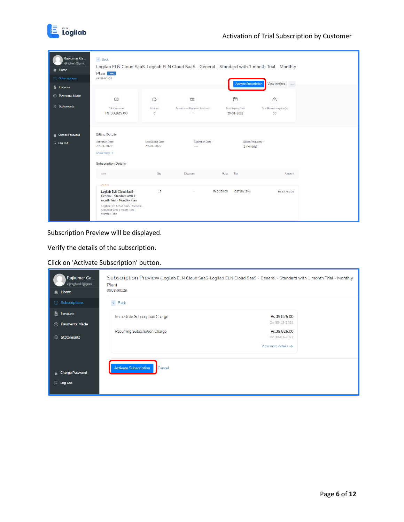

| Rajkumar Ga<br>vijiraghav1f@gmai<br><b>合 Home</b><br>Subscriptions<br><b>Fi</b> Invoices | $\leftarrow$ Back<br>Logilab ELN Cloud SaaS-Logilab ELN Cloud SaaS - General - Standard with 1 month Trial - Monthly<br>Plan [TRIAL]<br>#SUB-00128                                |                                  |                                                              |             | <b>Activate Subscription</b>                | View Invoices                     |
|------------------------------------------------------------------------------------------|-----------------------------------------------------------------------------------------------------------------------------------------------------------------------------------|----------------------------------|--------------------------------------------------------------|-------------|---------------------------------------------|-----------------------------------|
| 5 Payments Made<br><b>B</b> Statements                                                   | $\circ$<br><b>Total Amount</b><br>Rs.39,825.00                                                                                                                                    | Ŵ<br><b>Addons</b><br>$\circ$    | $\overline{\phantom{a}}$<br>Associated Payment Method<br>$-$ |             | ₿<br><b>Trial Expiry Date</b><br>29-01-2022 | △<br>Trial Remaining day(s)<br>30 |
| <b>A</b> Change Password<br>$\overline{\phantom{a}}$ Log Out                             | <b>Billing Details</b><br>Activation Date:<br>29-01-2022<br>Show more $\rightarrow$<br><b>Subscription Details</b>                                                                | Next Billing Date:<br>29-01-2022 | Expiration Date:<br>$-$                                      |             | <b>Billing Frequency:</b><br>1 month(s)     |                                   |
|                                                                                          | Item<br><b>PLAN</b>                                                                                                                                                               | Qty                              | <b>Discount</b>                                              | Rate        | Tax                                         | Amount                            |
|                                                                                          | <b>Logilab ELN Cloud SaaS -</b><br>General - Standard with 1<br>month Trial - Monthly Plan<br>Logilab ELN Cloud SaaS - General -<br>Standard with 1 month Trial -<br>Monthly Plan | 15                               |                                                              | Rs.2,250.00 | IGST18 (18%)                                | Rs.33,750.00                      |

Subscription Preview will be displayed.

Verify the details of the subscription.

Click on 'Activate Subscription' button.

| Rajkumar Ga<br>vijiraghav1f@gmai | Plan)                                  | Subscription Preview (Logilab ELN Cloud SaaS-Logilab ELN Cloud SaaS - General - Standard with 1 month Trial - Monthly |  |
|----------------------------------|----------------------------------------|-----------------------------------------------------------------------------------------------------------------------|--|
| A Home                           | #SUB-00128                             |                                                                                                                       |  |
| Subscriptions                    | $\leftarrow$ Back                      |                                                                                                                       |  |
| 覧<br>Invoices                    | Immediate Subscription Charge          | Rs.39,825.00                                                                                                          |  |
| (s) Payments Made                |                                        | On 30-12-2021                                                                                                         |  |
|                                  | Recurring Subscription Charge          | Rs.39,825.00                                                                                                          |  |
| <b>Statements</b><br>旧           |                                        | On 30-01-2022                                                                                                         |  |
|                                  |                                        | View more details $\rightarrow$                                                                                       |  |
|                                  |                                        |                                                                                                                       |  |
|                                  |                                        |                                                                                                                       |  |
| <b>A</b> Change Password         | <b>Activate Subscription</b><br>Cancel |                                                                                                                       |  |
|                                  |                                        |                                                                                                                       |  |
| $\overline{\phantom{a}}$ Log Out |                                        |                                                                                                                       |  |
|                                  |                                        |                                                                                                                       |  |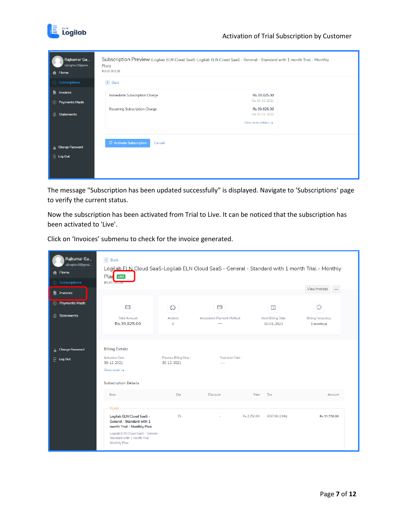

| Rajkumar Ga<br>vijiraghav1f@gmai<br><b>合</b> Home  | Subscription Preview (Logilab ELN Cloud SaaS-Logilab ELN Cloud SaaS - General - Standard with 1 month Trial - Monthly<br>Plan)<br>#SUB-00128 |                                                                  |  |
|----------------------------------------------------|----------------------------------------------------------------------------------------------------------------------------------------------|------------------------------------------------------------------|--|
| Subscriptions                                      | $\leftarrow$ Back                                                                                                                            |                                                                  |  |
| <b>F</b> Invoices<br><b>S</b> Payments Made        | Immediate Subscription Charge                                                                                                                | Rs.39,825.00<br>On 30-12-2021                                    |  |
| 旧<br>Statements                                    | Recurring Subscription Charge                                                                                                                | Rs.39,825.00<br>On 30-01-2022<br>View more details $\rightarrow$ |  |
| <b>A</b> Change Password<br>$\boxed{\div}$ Log Out | Activate Subscription<br>Cancel                                                                                                              |                                                                  |  |

The message "Subscription has been updated successfully" is displayed. Navigate to 'Subscriptions' page to verify the current status.

Now the subscription has been activated from Trial to Live. It can be noticed that the subscription has been activated to 'Live'.

Click on 'Invoices' submenu to check for the invoice generated.

| Rajkumar Ga<br>vijiraghav1f@gmai<br><b>A</b> Home<br><b>3</b> Subscriptions | $\leftarrow$ Back<br>Plar Live<br>#SUB-00128                                                                                                                                                      |                                      |                                                                     | Logilab ELN Cloud SaaS-Logilab ELN Cloud SaaS - General - Standard with 1 month Trial - Monthly | View Invoices<br>$\cdots$                   |
|-----------------------------------------------------------------------------|---------------------------------------------------------------------------------------------------------------------------------------------------------------------------------------------------|--------------------------------------|---------------------------------------------------------------------|-------------------------------------------------------------------------------------------------|---------------------------------------------|
| invoices<br>(s) Payments Made<br><b>Statements</b><br>旧                     | C<br><b>Total Amount</b><br>Rs.39,825.00                                                                                                                                                          | Ŵ<br>Addons<br>$\mathbf{0}$          | $\overline{\phantom{a}}$<br><b>Associated Payment Method</b><br>$-$ | 僓<br><b>Next Billing Date</b><br>30-01-2022                                                     | Q<br><b>Billing Frequency</b><br>1 month(s) |
| <b>A</b> Change Password<br>$\overline{\phantom{a}}$ Log Out                | <b>Billing Details</b><br>Activation Date:<br>30-12-2021<br>Show more $\rightarrow$<br><b>Subscription Details</b>                                                                                | Previous Billing Date:<br>30-12-2021 | <b>Expiration Date:</b><br>$\sim$                                   |                                                                                                 |                                             |
|                                                                             | Item<br><b>PLAN</b><br>Logilab ELN Cloud SaaS -<br>General - Standard with 1<br>month Trial - Monthly Plan<br>Logilab ELN Cloud SaaS - General -<br>Standard with 1 month Trial -<br>Monthly Plan | Qty<br>15                            | <b>Discount</b>                                                     | Tax<br>Rate<br>IGST18 (18%)<br>Rs.2.250.00                                                      | Amount<br>Rs.33.750.00                      |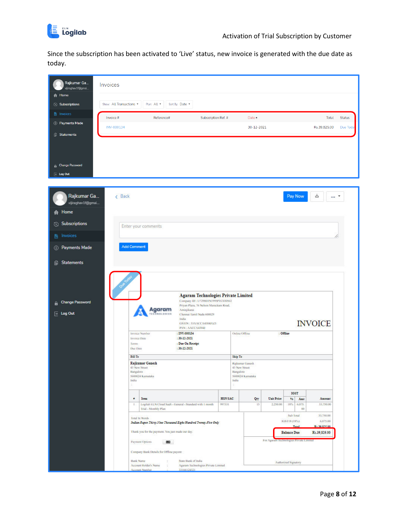

Since the subscription has been activated to 'Live' status, new invoice is generated with the due date as today.

| Rajkumar Ga<br>vijiraghav1f@gmai           | Invoices                |                         |                                                             |                                                                                                                                                                                                                             |                     |                                           |                                      |                   |                                         |                                      |                    |
|--------------------------------------------|-------------------------|-------------------------|-------------------------------------------------------------|-----------------------------------------------------------------------------------------------------------------------------------------------------------------------------------------------------------------------------|---------------------|-------------------------------------------|--------------------------------------|-------------------|-----------------------------------------|--------------------------------------|--------------------|
| A Home<br><b>3</b> Subscriptions           | Show: All Transactions  |                         | Plan: All -                                                 | Sort By: Date +                                                                                                                                                                                                             |                     |                                           |                                      |                   |                                         |                                      |                    |
| <b>h</b> Invoices                          |                         |                         |                                                             |                                                                                                                                                                                                                             |                     |                                           |                                      |                   |                                         |                                      |                    |
| S Payments Made                            | Invoice #<br>INV-000134 |                         | Reference#                                                  |                                                                                                                                                                                                                             | Subscription Ref. # |                                           | Date $\bullet$<br>30-12-2021         |                   |                                         | Total<br>Rs.39,825.00                | Status<br>Due Toda |
| <b>B</b> Statements                        |                         |                         |                                                             |                                                                                                                                                                                                                             |                     |                                           |                                      |                   |                                         |                                      |                    |
| <b>Change Password</b><br>Log Out          |                         |                         |                                                             |                                                                                                                                                                                                                             |                     |                                           |                                      |                   |                                         |                                      |                    |
|                                            |                         |                         |                                                             |                                                                                                                                                                                                                             |                     |                                           |                                      |                   |                                         |                                      |                    |
| Rajkumar Ga<br>vijiraghav1f@gmai           | < Back                  |                         |                                                             |                                                                                                                                                                                                                             |                     |                                           |                                      |                   | Pay Now                                 | 山<br>                                |                    |
| Home<br>A                                  |                         |                         |                                                             |                                                                                                                                                                                                                             |                     |                                           |                                      |                   |                                         |                                      |                    |
| Subscriptions<br>O                         |                         |                         | Enter your comments                                         |                                                                                                                                                                                                                             |                     |                                           |                                      |                   |                                         |                                      |                    |
| Invoices<br>睯                              |                         |                         |                                                             |                                                                                                                                                                                                                             |                     |                                           |                                      |                   |                                         |                                      |                    |
| <b>S</b> Payments Made                     |                         | <b>Add Comment</b>      |                                                             |                                                                                                                                                                                                                             |                     |                                           |                                      |                   |                                         |                                      |                    |
| 阊<br><b>Statements</b>                     |                         |                         |                                                             |                                                                                                                                                                                                                             |                     |                                           |                                      |                   |                                         |                                      |                    |
| <b>Change Password</b><br>a<br>$E$ Log Out |                         |                         | Agaram                                                      | <b>Agaram Technologies Private Limited</b><br>Company ID: U729001N1995PTC030563<br>Priyan Plaza, 76 Nelson Manickam Road,<br>Aminjikarai<br>Chennai Tamil Nadu 600029<br>India<br>GSTIN: 33AACCA4304J1Z5<br>PAN: AACCA4304J |                     |                                           |                                      |                   |                                         | <b>INVOICE</b>                       |                    |
|                                            |                         | Invoice Date            | Invoice Number                                              | : INV-000134<br>$: 30-12-2021$                                                                                                                                                                                              |                     | Online/Offline                            |                                      | : Offline         |                                         |                                      |                    |
|                                            |                         | Terms:<br>Due Date      |                                                             | : Due On Receipt<br>$: 30-12-2021$                                                                                                                                                                                          |                     |                                           |                                      |                   |                                         |                                      |                    |
|                                            |                         | <b>Bill To</b>          |                                                             |                                                                                                                                                                                                                             |                     | Ship To                                   |                                      |                   |                                         |                                      |                    |
|                                            |                         | Bangalore<br>India<br>÷ | <b>Rajkumar Ganesh</b><br>43 New Street<br>5600024 Kamataka |                                                                                                                                                                                                                             |                     | 43 New Street<br>Bangalore<br>India<br>z, | Rajkumar Ganesh<br>5600024 Karnataka |                   |                                         |                                      |                    |
|                                            |                         | ٠                       | Item                                                        |                                                                                                                                                                                                                             | HSN/SAC             |                                           |                                      | <b>Unit Price</b> | IGST                                    | Amount                               |                    |
|                                            |                         | $1$                     | <b>Trial - Monthly Plan</b>                                 | Logilab ELN Cloud SaaS - General - Standard with 1 month                                                                                                                                                                    | 997331              |                                           | Qty<br>15                            | 2,250.00          | 96<br>Amt<br>18%<br>6,075.<br>00        | 33,750.00                            |                    |
|                                            |                         |                         | Total In Words                                              | Indian Rupes Thirty-Nine Thousand Eight Hundred Twenty-Five Only                                                                                                                                                            |                     |                                           |                                      |                   | Sub Total<br>IGST18 (18%)<br>Tata       | 33,750.00<br>6,075.00<br>R-30 825.00 |                    |
|                                            |                         |                         | Thank you for the payment. You just made our day.           |                                                                                                                                                                                                                             |                     |                                           |                                      |                   | <b>Balance Due</b>                      | Rs.39,825.00                         |                    |
|                                            |                         |                         | Payment Options                                             |                                                                                                                                                                                                                             |                     |                                           |                                      |                   | For Agaram Technologies Private Limited |                                      |                    |
|                                            |                         | <b>Bank Name</b>        | Company Bank Details for Offline payent:                    | State Bank of India                                                                                                                                                                                                         |                     |                                           |                                      |                   |                                         |                                      |                    |
|                                            |                         |                         | Account Holder's Name<br><b>Account Number</b>              | Agaram Technologies Private Limited<br>33166124321                                                                                                                                                                          |                     |                                           |                                      |                   | Authorized Signatory                    |                                      |                    |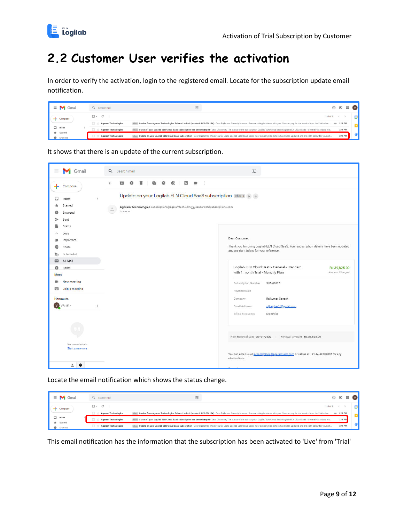

### <span id="page-8-0"></span>**2.2 Customer User verifies the activation**

In order to verify the activation, login to the registered email. Locate for the subscription update email notification.

| Gmail                           |  | Q Search mail              | 荘                                                                                                                                                                                                            | 203                        | $\mathbf{H}$                                                                                                                                                                                        |  |         |  |
|---------------------------------|--|----------------------------|--------------------------------------------------------------------------------------------------------------------------------------------------------------------------------------------------------------|----------------------------|-----------------------------------------------------------------------------------------------------------------------------------------------------------------------------------------------------|--|---------|--|
|                                 |  | $C$ :<br>$-$               | $1 - 9$ of 9 $\leq$                                                                                                                                                                                          |                            |                                                                                                                                                                                                     |  |         |  |
|                                 |  | <b>Agaram Technologies</b> | Inbox Invoice from Agaram Technologies Private Limited (Invoice#: INV-000134) - Dear Rajkumar Ganesh, It was a pleasure doing business with you. You can pay for the invoice from the link below.  @ 2:18 PM |                            |                                                                                                                                                                                                     |  |         |  |
| $\Box$ Inbox<br>$\star$ Starred |  | <b>Agaram Technologies</b> | Inbox Status of your Logilab ELN Cloud SaaS subscription has been changed - Dear Customer. The status of the subscription Logilab ELN Cloud SaaS-Logilab ELN Cloud SaaS - General - Standard wit             |                            | 2:18 PM                                                                                                                                                                                             |  |         |  |
| Snoozed                         |  |                            |                                                                                                                                                                                                              | <b>Agaram Technologies</b> | Inbox Update on your Logilab ELN Cloud SaaS subscription - Dear Customer. Thank you for using Logilab ELN Cloud SaaS. Your subscription details have been updated and are right below for your ref. |  | 2:18 PM |  |

It shows that there is an update of the current subscription.



Locate the email notification which shows the status change.

| Gmail<br>$\equiv$      | Q Search mail              | 荘                                                                                                                                                                                                            | දිම | $\cdots$ |  |
|------------------------|----------------------------|--------------------------------------------------------------------------------------------------------------------------------------------------------------------------------------------------------------|-----|----------|--|
|                        | $C$ :<br>$-$               | $1 - 9$ of 9 $\leftarrow$                                                                                                                                                                                    |     |          |  |
|                        | <b>Agaram Technologies</b> | Inbox Invoice from Agaram Technologies Private Limited (Invoice#: INV-000134) - Dear Rajkumar Ganesh, It was a pleasure doing business with you. You can pay for the invoice from the link below.  @ 2:18 PM |     |          |  |
| Inbox                  | <b>Agaram Technologies</b> | Inbox Status of your Logilab ELN Cloud SaaS subscription has been changed - Dear Customer. The status of the subscription Logilab ELN Cloud SaaS-Logilab ELN Cloud SaaS - General - Standard wit             |     | 2:18 PM  |  |
| $*$ Starred<br>Snoozed | <b>Agaram Technologies</b> | Inbox Update on your Logilab ELN Cloud SaaS subscription - Dear Customer. Thank you for using Logilab ELN Cloud SaaS. Your subscription details have been updated and are right below for your ref           |     | 2:18 PM  |  |

This email notification has the information that the subscription has been activated to 'Live' from 'Trial'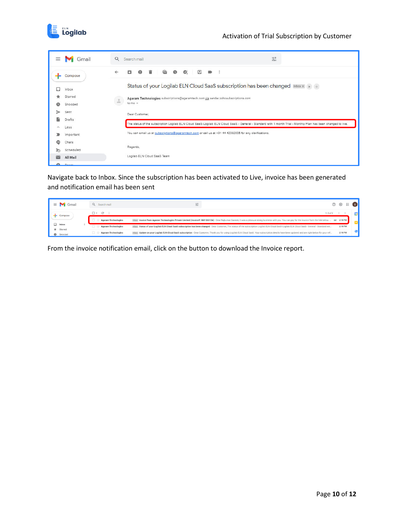

| $\equiv$ | Gmail              | $\alpha$<br>Search mail                                                                                                                                       | 荘 |
|----------|--------------------|---------------------------------------------------------------------------------------------------------------------------------------------------------------|---|
|          | Compose            | 一言<br>$\bullet$<br>←<br>ы                                                                                                                                     |   |
|          | Inbox              | Status of your Logilab ELN Cloud SaaS subscription has been changed Inbox x > +                                                                               |   |
|          | Starred<br>Snoozed | Agaram Technologies subscriptions@agaramtech.com via sender.zohosubscriptions.com                                                                             |   |
|          |                    | $\frac{0}{2}$<br>to me $-$                                                                                                                                    |   |
|          | Sent               | Dear Customer.                                                                                                                                                |   |
|          | <b>Drafts</b>      |                                                                                                                                                               |   |
| ×        | Less               | The status of the subscription Logilab ELN Cloud SaaS-Logilab ELN Cloud SaaS - General - Standard with 1 month Trial - Monthly Plan has been changed to live. |   |
|          | Important          | You can email us at subscriptions@agaramtech.com or call us at +91 44 42082005 for any clarifications.                                                        |   |
| ග        | Chats              |                                                                                                                                                               |   |
| ৯        | Scheduled          | Regards,                                                                                                                                                      |   |
|          | All Mail           | Logilab ELN Cloud SaaS Team                                                                                                                                   |   |
| and the  | $C_{\text{max}}$   |                                                                                                                                                               |   |

Navigate back to Inbox. Since the subscription has been activated to Live, invoice has been generated and notification email has been sent

| $\equiv$<br>Gmail               | Q Search mail                             |                                                                                                                                                                                                      | શ્ર્    | ₩ |  |
|---------------------------------|-------------------------------------------|------------------------------------------------------------------------------------------------------------------------------------------------------------------------------------------------------|---------|---|--|
| Compose                         | $\mathcal{C}$<br>$\overline{\phantom{a}}$ | $1 - 9$ of 9                                                                                                                                                                                         |         |   |  |
|                                 | <b>Agaram Technologies</b>                | Inbox Invoice from Agaram Technologies Private Limited (Invoice#: INV-000134) - Dear Rajkumar Ganesh, It was a pleasure doing business with you. You can pay for the invoice from the link below.  @ | 2:18 PM |   |  |
| $\Box$ Inbox<br>$\star$ Starred | <b>Agaram Technologies</b>                | Inbox Status of your Logilab ELN Cloud SaaS subscription has been changed - Dear Customer. The status of the subscription Logilab ELN Cloud SaaS-Logilab ELN Cloud SaaS - General - Standard wit     | 2:18 PM |   |  |
| Snoozed                         | <b>Agaram Technologies</b>                | Inbox Update on your Logilab ELN Cloud SaaS subscription - Dear Customer. Thank you for using Logilab ELN Cloud SaaS. Your subscription details have been updated and are right below for your ref   | 2:18 PM |   |  |

From the invoice notification email, click on the button to download the Invoice report.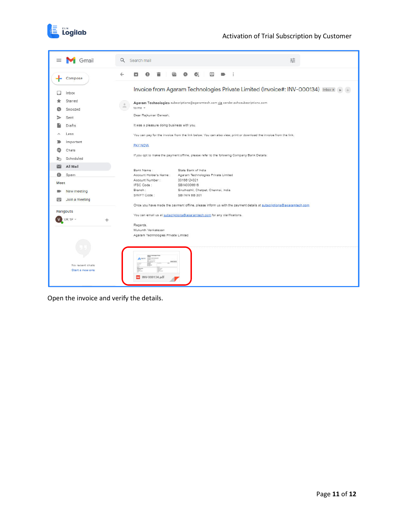



Open the invoice and verify the details.